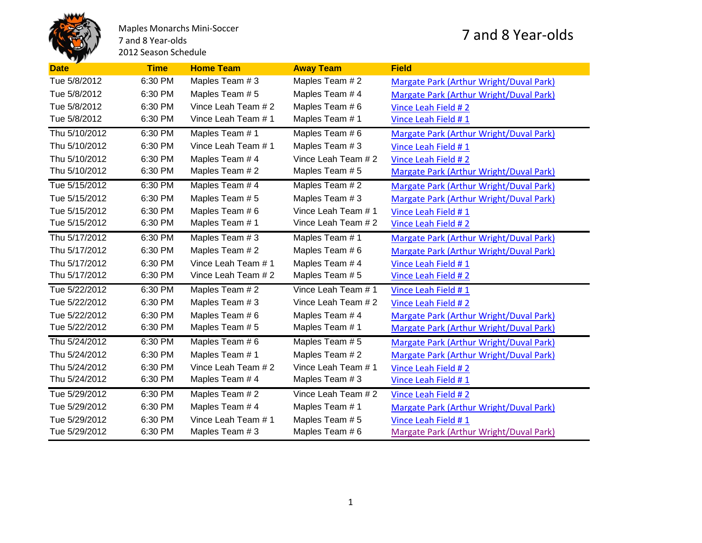

Maples Monarchs Mini-Soccer 7 and 8 Year-olds 2012 Season Schedule

## 7 and 8 Year-olds

| <b>Date</b>   | <b>Time</b> | <b>Home Team</b>    | <b>Away Team</b>    | <b>Field</b>                            |
|---------------|-------------|---------------------|---------------------|-----------------------------------------|
| Tue 5/8/2012  | 6:30 PM     | Maples Team # 3     | Maples Team # 2     | Margate Park (Arthur Wright/Duval Park) |
| Tue 5/8/2012  | 6:30 PM     | Maples Team #5      | Maples Team #4      | Margate Park (Arthur Wright/Duval Park) |
| Tue 5/8/2012  | 6:30 PM     | Vince Leah Team # 2 | Maples Team # 6     | Vince Leah Field #2                     |
| Tue 5/8/2012  | 6:30 PM     | Vince Leah Team # 1 | Maples Team #1      | Vince Leah Field #1                     |
| Thu 5/10/2012 | 6:30 PM     | Maples Team #1      | Maples Team #6      | Margate Park (Arthur Wright/Duval Park) |
| Thu 5/10/2012 | 6:30 PM     | Vince Leah Team # 1 | Maples Team # 3     | Vince Leah Field #1                     |
| Thu 5/10/2012 | 6:30 PM     | Maples Team #4      | Vince Leah Team # 2 | Vince Leah Field #2                     |
| Thu 5/10/2012 | 6:30 PM     | Maples Team # 2     | Maples Team #5      | Margate Park (Arthur Wright/Duval Park) |
| Tue 5/15/2012 | 6:30 PM     | Maples Team #4      | Maples Team #2      | Margate Park (Arthur Wright/Duval Park) |
| Tue 5/15/2012 | 6:30 PM     | Maples Team #5      | Maples Team #3      | Margate Park (Arthur Wright/Duval Park) |
| Tue 5/15/2012 | 6:30 PM     | Maples Team #6      | Vince Leah Team # 1 | Vince Leah Field #1                     |
| Tue 5/15/2012 | 6:30 PM     | Maples Team # 1     | Vince Leah Team # 2 | Vince Leah Field #2                     |
| Thu 5/17/2012 | 6:30 PM     | Maples Team #3      | Maples Team #1      | Margate Park (Arthur Wright/Duval Park) |
| Thu 5/17/2012 | 6:30 PM     | Maples Team # 2     | Maples Team # 6     | Margate Park (Arthur Wright/Duval Park) |
| Thu 5/17/2012 | 6:30 PM     | Vince Leah Team # 1 | Maples Team #4      | Vince Leah Field #1                     |
| Thu 5/17/2012 | 6:30 PM     | Vince Leah Team # 2 | Maples Team # 5     | Vince Leah Field #2                     |
| Tue 5/22/2012 | 6:30 PM     | Maples Team #2      | Vince Leah Team # 1 | Vince Leah Field #1                     |
| Tue 5/22/2012 | 6:30 PM     | Maples Team # 3     | Vince Leah Team # 2 | Vince Leah Field # 2                    |
| Tue 5/22/2012 | 6:30 PM     | Maples Team #6      | Maples Team #4      | Margate Park (Arthur Wright/Duval Park) |
| Tue 5/22/2012 | 6:30 PM     | Maples Team # 5     | Maples Team # 1     | Margate Park (Arthur Wright/Duval Park) |
| Thu 5/24/2012 | 6:30 PM     | Maples Team #6      | Maples Team #5      | Margate Park (Arthur Wright/Duval Park) |
| Thu 5/24/2012 | 6:30 PM     | Maples Team #1      | Maples Team # 2     | Margate Park (Arthur Wright/Duval Park) |
| Thu 5/24/2012 | 6:30 PM     | Vince Leah Team # 2 | Vince Leah Team # 1 | Vince Leah Field #2                     |
| Thu 5/24/2012 | 6:30 PM     | Maples Team # 4     | Maples Team # 3     | Vince Leah Field #1                     |
| Tue 5/29/2012 | 6:30 PM     | Maples Team #2      | Vince Leah Team # 2 | Vince Leah Field #2                     |
| Tue 5/29/2012 | 6:30 PM     | Maples Team #4      | Maples Team # 1     | Margate Park (Arthur Wright/Duval Park) |
| Tue 5/29/2012 | 6:30 PM     | Vince Leah Team # 1 | Maples Team # 5     | Vince Leah Field #1                     |
| Tue 5/29/2012 | 6:30 PM     | Maples Team # 3     | Maples Team #6      | Margate Park (Arthur Wright/Duval Park) |